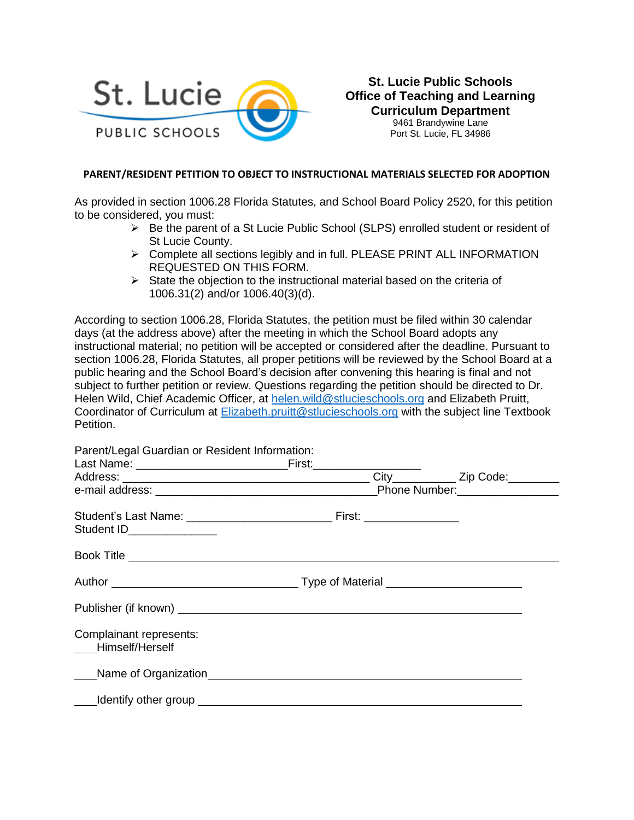

**St. Lucie Public Schools Office of Teaching and Learning Curriculum Department**

9461 Brandywine Lane Port St. Lucie, FL 34986

## **PARENT/RESIDENT PETITION TO OBJECT TO INSTRUCTIONAL MATERIALS SELECTED FOR ADOPTION**

As provided in section 1006.28 Florida Statutes, and School Board Policy 2520, for this petition to be considered, you must:

- ➢ Be the parent of a St Lucie Public School (SLPS) enrolled student or resident of St Lucie County.
- ➢ Complete all sections legibly and in full. PLEASE PRINT ALL INFORMATION REQUESTED ON THIS FORM.
- $\triangleright$  State the objection to the instructional material based on the criteria of 1006.31(2) and/or 1006.40(3)(d).

According to section 1006.28, Florida Statutes, the petition must be filed within 30 calendar days (at the address above) after the meeting in which the School Board adopts any instructional material; no petition will be accepted or considered after the deadline. Pursuant to section 1006.28, Florida Statutes, all proper petitions will be reviewed by the School Board at a public hearing and the School Board's decision after convening this hearing is final and not subject to further petition or review. Questions regarding the petition should be directed to Dr. Helen Wild, Chief Academic Officer, at [helen.wild@stlucieschools.org](mailto:helen.wild@stlucieschools.org) and Elizabeth Pruitt, Coordinator of Curriculum at [Elizabeth.pruitt@stlucieschools.org](mailto:Elizabeth.pruitt@stlucieschools.org) with the subject line Textbook Petition.

| Parent/Legal Guardian or Resident Information:                                                                                                                                                                                 |  |  |  |  |
|--------------------------------------------------------------------------------------------------------------------------------------------------------------------------------------------------------------------------------|--|--|--|--|
|                                                                                                                                                                                                                                |  |  |  |  |
|                                                                                                                                                                                                                                |  |  |  |  |
|                                                                                                                                                                                                                                |  |  |  |  |
| Student ID________________                                                                                                                                                                                                     |  |  |  |  |
|                                                                                                                                                                                                                                |  |  |  |  |
|                                                                                                                                                                                                                                |  |  |  |  |
|                                                                                                                                                                                                                                |  |  |  |  |
| Complainant represents:<br>Himself/Herself                                                                                                                                                                                     |  |  |  |  |
|                                                                                                                                                                                                                                |  |  |  |  |
| Monthly other group entitled and the control of the control of the control of the control of the control of the control of the control of the control of the control of the control of the control of the control of the contr |  |  |  |  |